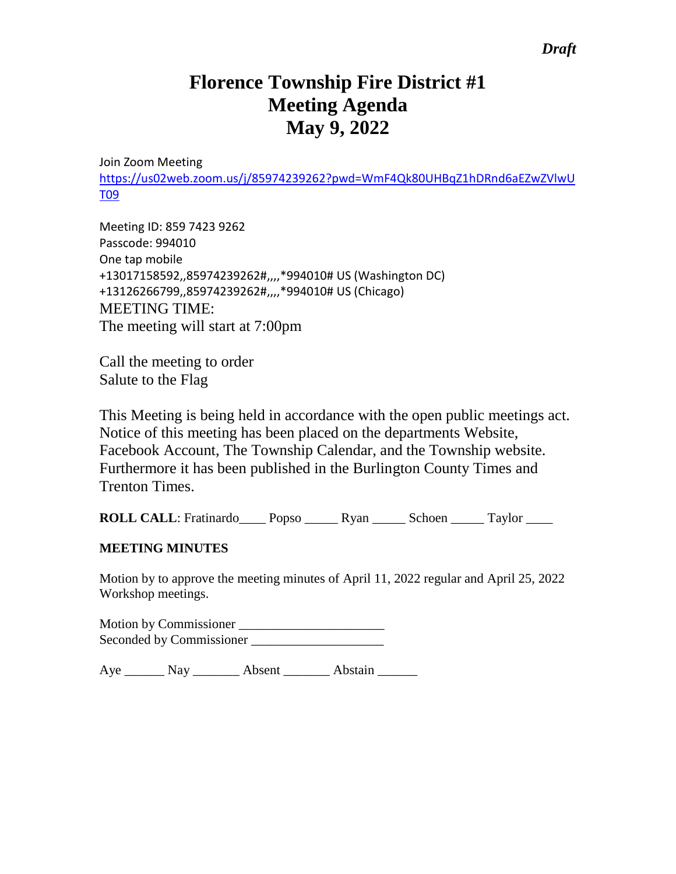## *Draft*

# **Florence Township Fire District #1 Meeting Agenda May 9, 2022**

Join Zoom Meeting

[https://us02web.zoom.us/j/85974239262?pwd=WmF4Qk80UHBqZ1hDRnd6aEZwZVlwU](https://us02web.zoom.us/j/85974239262?pwd=WmF4Qk80UHBqZ1hDRnd6aEZwZVlwUT09) [T09](https://us02web.zoom.us/j/85974239262?pwd=WmF4Qk80UHBqZ1hDRnd6aEZwZVlwUT09)

Meeting ID: 859 7423 9262 Passcode: 994010 One tap mobile +13017158592,,85974239262#,,,,\*994010# US (Washington DC) +13126266799,,85974239262#,,,,\*994010# US (Chicago) MEETING TIME: The meeting will start at 7:00pm

Call the meeting to order Salute to the Flag

This Meeting is being held in accordance with the open public meetings act. Notice of this meeting has been placed on the departments Website, Facebook Account, The Township Calendar, and the Township website. Furthermore it has been published in the Burlington County Times and Trenton Times.

**ROLL CALL**: Fratinardo\_\_\_\_ Popso \_\_\_\_\_ Ryan \_\_\_\_\_ Schoen \_\_\_\_\_ Taylor \_\_\_\_

#### **MEETING MINUTES**

Motion by to approve the meeting minutes of April 11, 2022 regular and April 25, 2022 Workshop meetings.

Motion by Commissioner \_\_\_\_\_\_\_\_\_\_\_\_\_\_\_\_\_\_\_\_\_\_ Seconded by Commissioner \_\_\_\_\_\_\_\_\_\_\_\_\_\_\_\_\_\_\_\_

Aye \_\_\_\_\_\_\_ Nay \_\_\_\_\_\_\_\_ Absent \_\_\_\_\_\_\_ Abstain \_\_\_\_\_\_\_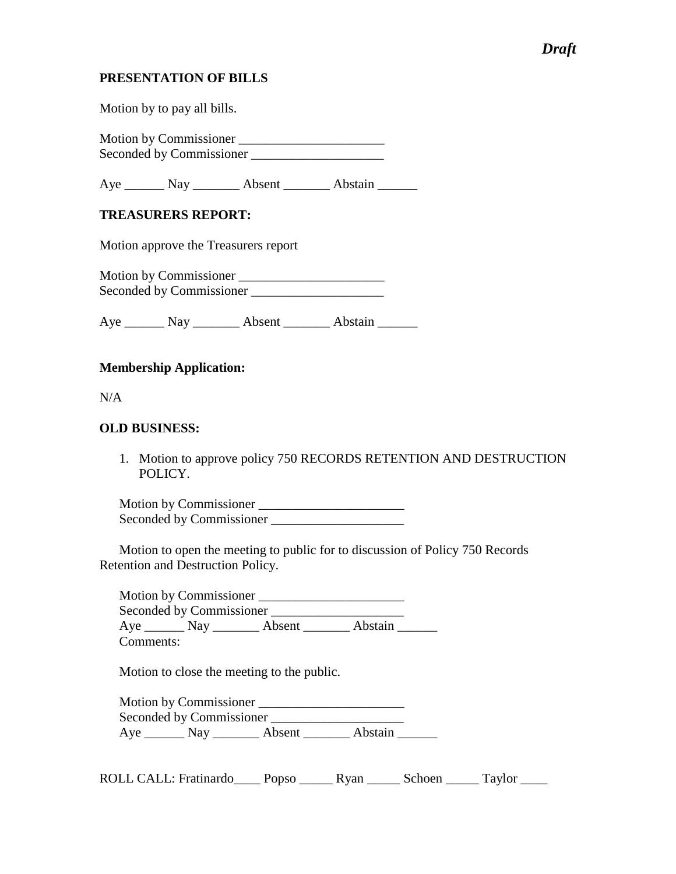## *Draft*

#### **PRESENTATION OF BILLS**

Motion by to pay all bills.

Motion by Commissioner \_\_\_\_\_\_\_\_\_\_\_\_\_\_\_\_\_\_\_\_\_\_ Seconded by Commissioner \_\_\_\_\_\_\_\_\_\_\_\_\_\_\_\_\_\_\_\_

Aye \_\_\_\_\_\_\_ Nay \_\_\_\_\_\_\_\_ Absent \_\_\_\_\_\_\_ Abstain \_\_\_\_\_\_\_

#### **TREASURERS REPORT:**

Motion approve the Treasurers report

Motion by Commissioner Seconded by Commissioner \_\_\_\_\_\_\_\_\_\_\_\_\_\_\_\_\_\_\_\_

Aye \_\_\_\_\_\_\_ Nay \_\_\_\_\_\_\_\_ Absent \_\_\_\_\_\_\_\_ Abstain \_\_\_\_\_\_\_

#### **Membership Application:**

N/A

#### **OLD BUSINESS:**

1. Motion to approve policy 750 RECORDS RETENTION AND DESTRUCTION POLICY.

Motion by Commissioner \_\_\_\_\_\_\_\_\_\_\_\_\_\_\_\_\_\_\_\_\_\_ Seconded by Commissioner \_\_\_\_\_\_\_\_\_\_\_\_\_\_\_\_\_\_\_\_

Motion to open the meeting to public for to discussion of Policy 750 Records Retention and Destruction Policy.

Motion by Commissioner \_\_\_\_\_\_\_\_\_\_\_\_\_\_\_\_\_\_\_\_\_\_ Seconded by Commissioner \_\_\_\_\_\_\_\_\_\_\_\_\_\_\_\_\_\_\_\_ Aye \_\_\_\_\_\_\_ Nay \_\_\_\_\_\_\_ Absent \_\_\_\_\_\_\_ Abstain \_\_\_\_\_\_ Comments:

Motion to close the meeting to the public.

| Motion by Commissioner   |        |         |  |
|--------------------------|--------|---------|--|
| Seconded by Commissioner |        |         |  |
| $Aye$ Nay                | Absent | Abstain |  |

ROLL CALL: Fratinardo\_\_\_\_ Popso \_\_\_\_\_ Ryan \_\_\_\_\_ Schoen \_\_\_\_\_ Taylor \_\_\_\_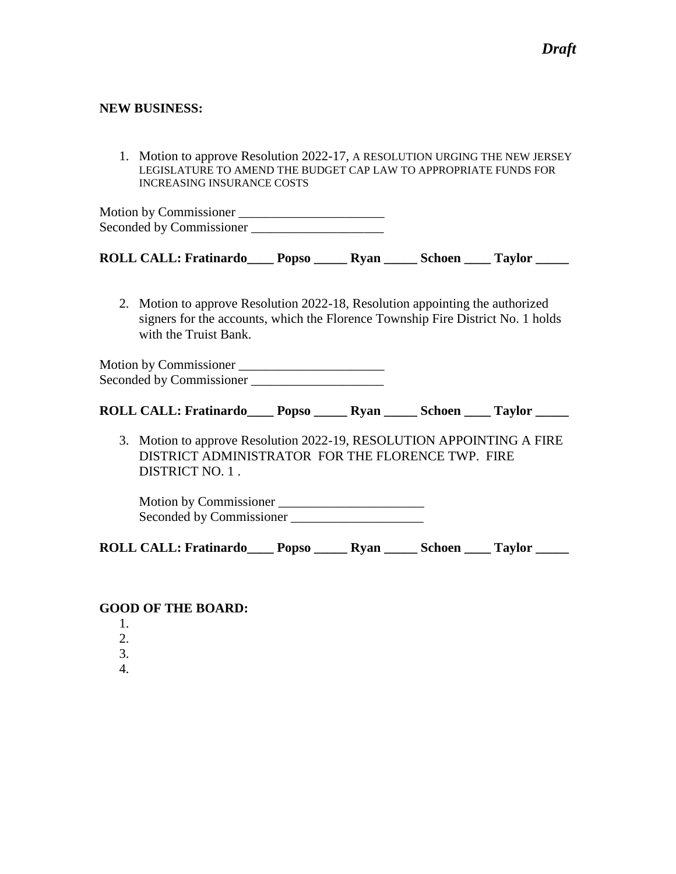#### **NEW BUSINESS:**

1. Motion to approve Resolution 2022-17, A RESOLUTION URGING THE NEW JERSEY LEGISLATURE TO AMEND THE BUDGET CAP LAW TO APPROPRIATE FUNDS FOR INCREASING INSURANCE COSTS

Motion by Commissioner \_\_\_\_\_\_\_\_\_\_\_\_\_\_\_\_\_\_\_\_\_\_ Seconded by Commissioner \_\_\_\_\_\_\_\_\_\_\_\_\_\_\_\_\_\_\_\_

| <b>ROLL CALL: Fratinardo</b> | Popso | <b>R</b> van | <b>Schoen</b> | <b>Taylor</b> |
|------------------------------|-------|--------------|---------------|---------------|
|                              |       |              |               |               |

2. Motion to approve Resolution 2022-18, Resolution appointing the authorized signers for the accounts, which the Florence Township Fire District No. 1 holds with the Truist Bank.

Motion by Commissioner \_\_\_\_\_\_\_\_\_\_\_\_\_\_\_\_\_\_\_\_\_\_ Seconded by Commissioner \_\_\_\_\_\_\_\_\_\_\_\_\_\_\_\_\_\_\_\_

| <b>ROLL CALL: Fratinardo</b> | <b>Popso</b> | <b>R</b> van | <b>Schoen</b> | <b>Taylor</b> |  |
|------------------------------|--------------|--------------|---------------|---------------|--|
|                              |              |              |               |               |  |

3. Motion to approve Resolution 2022-19, RESOLUTION APPOINTING A FIRE DISTRICT ADMINISTRATOR FOR THE FLORENCE TWP. FIRE DISTRICT NO. 1 .

Motion by Commissioner \_\_\_\_\_\_\_\_\_\_\_\_\_\_\_\_\_\_\_\_\_\_ Seconded by Commissioner

**ROLL CALL: Fratinardo\_\_\_\_ Popso \_\_\_\_\_ Ryan \_\_\_\_\_ Schoen \_\_\_\_ Taylor \_\_\_\_\_**

#### **GOOD OF THE BOARD:**

- 1.
- 2.
- 3.
- 4.